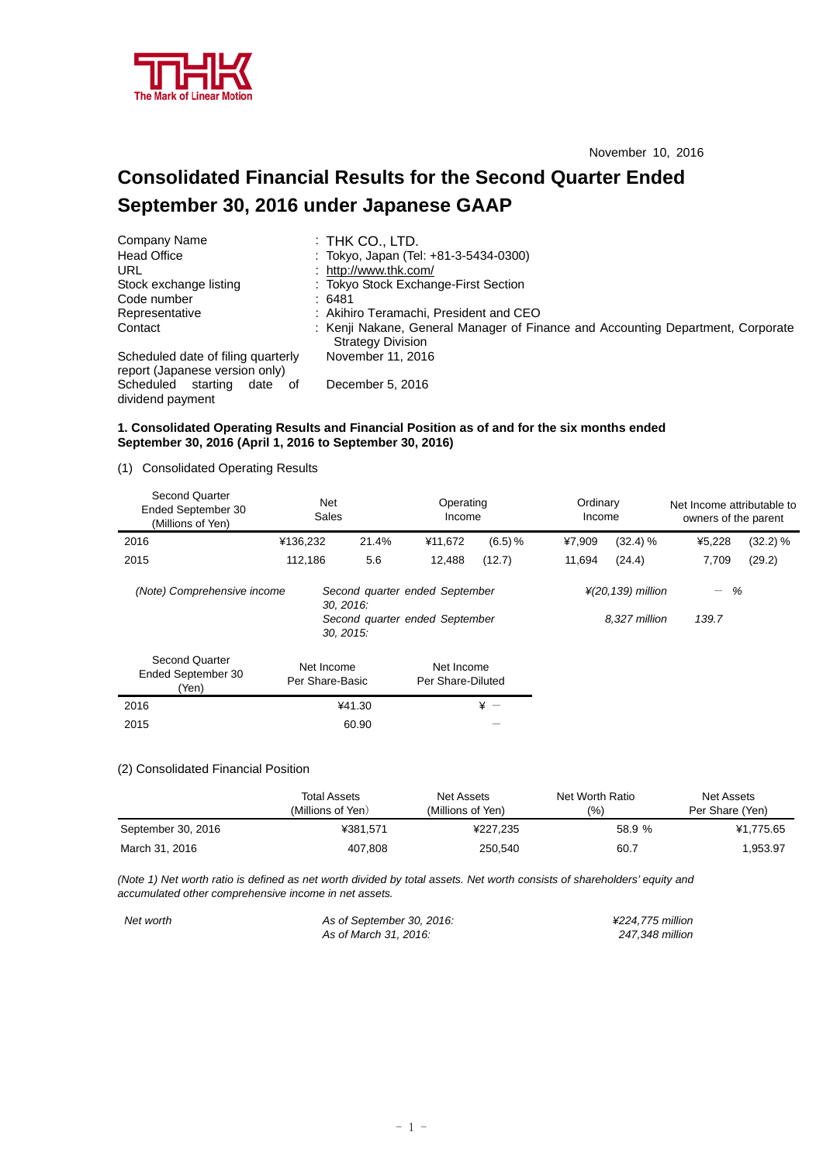

# **Consolidated Financial Results for the Second Quarter Ended September 30, 2016 under Japanese GAAP**

| Company Name                                                         | $\colon$ Thk Co., LTD.                                                                                      |
|----------------------------------------------------------------------|-------------------------------------------------------------------------------------------------------------|
| <b>Head Office</b>                                                   | : Tokyo, Japan (Tel: +81-3-5434-0300)                                                                       |
| URL                                                                  | : http://www.thk.com/                                                                                       |
| Stock exchange listing                                               | : Tokyo Stock Exchange-First Section                                                                        |
| Code number                                                          | :6481                                                                                                       |
| Representative                                                       | : Akihiro Teramachi, President and CEO                                                                      |
| Contact                                                              | : Kenji Nakane, General Manager of Finance and Accounting Department, Corporate<br><b>Strategy Division</b> |
| Scheduled date of filing quarterly<br>report (Japanese version only) | November 11, 2016                                                                                           |
| Scheduled starting<br>date of<br>dividend payment                    | December 5, 2016                                                                                            |

#### **1. Consolidated Operating Results and Financial Position as of and for the six months ended September 30, 2016 (April 1, 2016 to September 30, 2016)**

(1) Consolidated Operating Results

| <b>Second Quarter</b><br>Ended September 30<br>(Millions of Yen) | Net<br>Sales                  |        | Operating<br>Income                                              |         | Ordinary<br>Income |                                                 | Net Income attributable to<br>owners of the parent |          |
|------------------------------------------------------------------|-------------------------------|--------|------------------------------------------------------------------|---------|--------------------|-------------------------------------------------|----------------------------------------------------|----------|
| 2016                                                             | ¥136,232                      | 21.4%  | ¥11,672                                                          | (6.5) % | ¥7,909             | (32.4) %                                        | ¥5,228                                             | (32.2) % |
| 2015                                                             | 112,186                       | 5.6    | 12,488                                                           | (12.7)  | 11,694             | (24.4)                                          | 7,709                                              | (29.2)   |
| (Note) Comprehensive income                                      | 30.2016.<br>30, 2015:         |        | Second quarter ended September<br>Second quarter ended September |         |                    | $\frac{1}{2}$ (20,139) million<br>8.327 million | %<br>$\qquad \qquad -$<br>139.7                    |          |
| <b>Second Quarter</b><br>Ended September 30<br>(Yen)             | Net Income<br>Per Share-Basic |        | Net Income<br>Per Share-Diluted                                  |         |                    |                                                 |                                                    |          |
| 2016                                                             |                               | ¥41.30 |                                                                  | $* -$   |                    |                                                 |                                                    |          |
| 2015                                                             |                               | 60.90  |                                                                  |         |                    |                                                 |                                                    |          |

#### (2) Consolidated Financial Position

|                    | Total Assets<br>(Millions of Yen) | Net Assets<br>(Millions of Yen) | Net Worth Ratio<br>$\frac{10}{6}$ | Net Assets<br>Per Share (Yen) |
|--------------------|-----------------------------------|---------------------------------|-----------------------------------|-------------------------------|
| September 30, 2016 | ¥381.571                          | ¥227.235                        | 58.9 %                            | ¥1.775.65                     |
| March 31, 2016     | 407,808                           | 250,540                         | 60.7                              | .953.97                       |

*(Note 1) Net worth ratio is defined as net worth divided by total assets. Net worth consists of shareholders' equity and accumulated other comprehensive income in net assets.* 

| Net worth | As of September 30, 2016: | ¥224.775 million |
|-----------|---------------------------|------------------|
|           | As of March 31, 2016:     | 247.348 million  |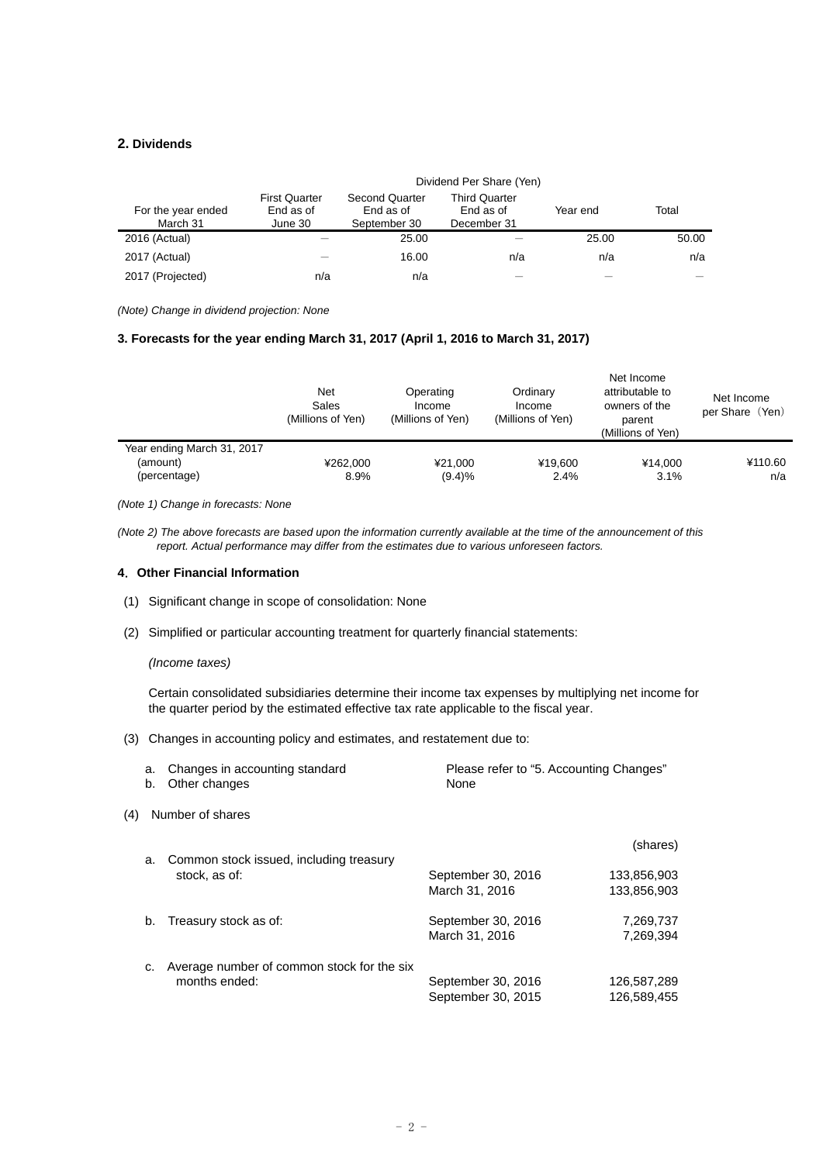#### **2. Dividends**

|                                | Dividend Per Share (Yen)                     |                                                    |                                                  |          |       |
|--------------------------------|----------------------------------------------|----------------------------------------------------|--------------------------------------------------|----------|-------|
| For the year ended<br>March 31 | <b>First Quarter</b><br>End as of<br>June 30 | <b>Second Quarter</b><br>End as of<br>September 30 | <b>Third Quarter</b><br>End as of<br>December 31 | Year end | Total |
| 2016 (Actual)                  |                                              | 25.00                                              |                                                  | 25.00    | 50.00 |
| 2017 (Actual)                  |                                              | 16.00                                              | n/a                                              | n/a      | n/a   |
| 2017 (Projected)               | n/a                                          | n/a                                                |                                                  |          |       |

*(Note) Change in dividend projection: None* 

#### **3. Forecasts for the year ending March 31, 2017 (April 1, 2016 to March 31, 2017)**

|                            | <b>Net</b><br>Sales<br>(Millions of Yen) | Operating<br>Income<br>(Millions of Yen) | Ordinary<br>Income<br>(Millions of Yen) | Net Income<br>attributable to<br>owners of the<br>parent<br>(Millions of Yen) | Net Income<br>per Share (Yen) |
|----------------------------|------------------------------------------|------------------------------------------|-----------------------------------------|-------------------------------------------------------------------------------|-------------------------------|
| Year ending March 31, 2017 |                                          |                                          |                                         |                                                                               |                               |
| (amount)                   | ¥262.000                                 | ¥21.000                                  | ¥19.600                                 | ¥14.000                                                                       | ¥110.60                       |
| (percentage)               | 8.9%                                     | (9.4)%                                   | 2.4%                                    | 3.1%                                                                          | n/a                           |

*(Note 1) Change in forecasts: None* 

*(Note 2) The above forecasts are based upon the information currently available at the time of the announcement of this report. Actual performance may differ from the estimates due to various unforeseen factors.* 

#### **4**.**Other Financial Information**

- (1) Significant change in scope of consolidation: None
- (2) Simplified or particular accounting treatment for quarterly financial statements:

#### *(Income taxes)*

Certain consolidated subsidiaries determine their income tax expenses by multiplying net income for the quarter period by the estimated effective tax rate applicable to the fiscal year.

(3) Changes in accounting policy and estimates, and restatement due to:

|     | a.<br>b. | Changes in accounting standard<br>Other changes | Please refer to "5. Accounting Changes"<br>None |             |
|-----|----------|-------------------------------------------------|-------------------------------------------------|-------------|
| (4) |          | Number of shares                                |                                                 |             |
|     | a.       | Common stock issued, including treasury         |                                                 | (shares)    |
|     |          | stock, as of:                                   | September 30, 2016                              | 133,856,903 |
|     |          |                                                 | March 31, 2016                                  | 133,856,903 |
|     | b.       | Treasury stock as of:                           | September 30, 2016                              | 7,269,737   |
|     |          |                                                 | March 31, 2016                                  | 7.269.394   |
|     |          | Average number of common stock for the six      |                                                 |             |
|     |          | months ended:                                   | September 30, 2016                              | 126,587,289 |
|     |          |                                                 | September 30, 2015                              | 126,589,455 |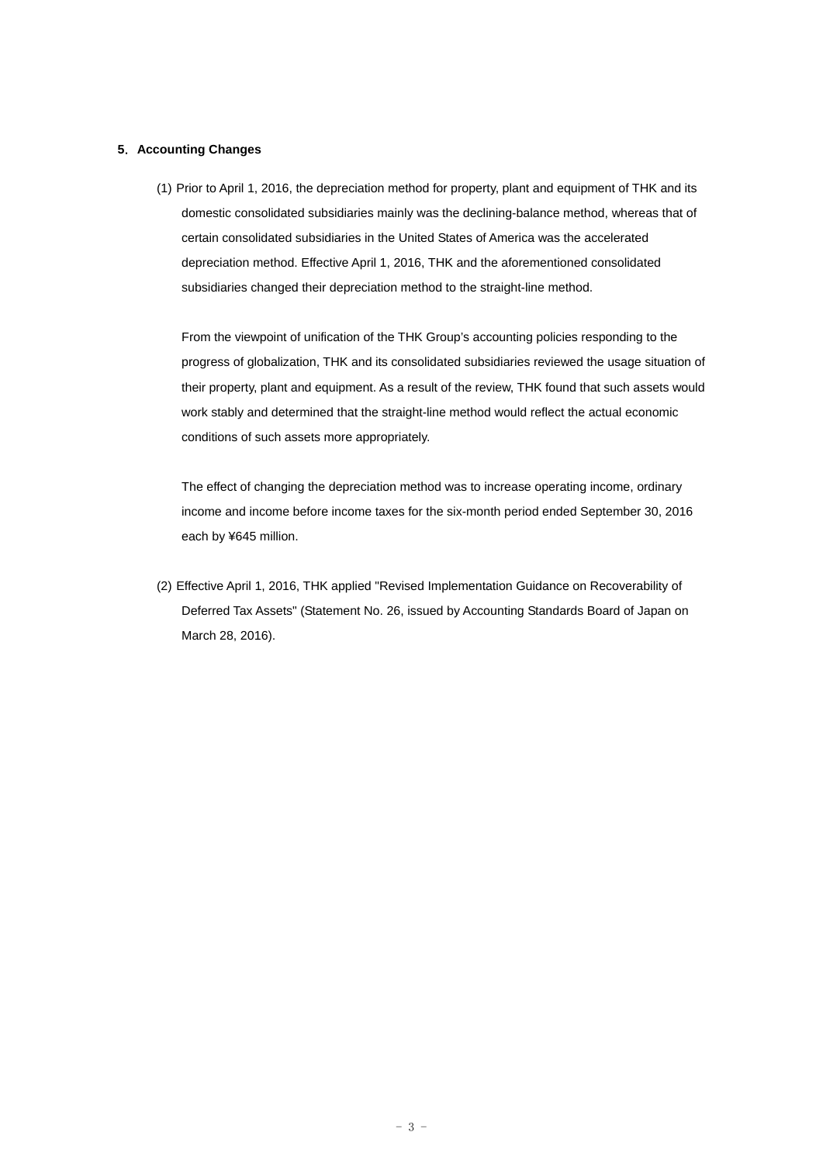#### **5**.**Accounting Changes**

(1) Prior to April 1, 2016, the depreciation method for property, plant and equipment of THK and its domestic consolidated subsidiaries mainly was the declining-balance method, whereas that of certain consolidated subsidiaries in the United States of America was the accelerated depreciation method. Effective April 1, 2016, THK and the aforementioned consolidated subsidiaries changed their depreciation method to the straight-line method.

From the viewpoint of unification of the THK Group's accounting policies responding to the progress of globalization, THK and its consolidated subsidiaries reviewed the usage situation of their property, plant and equipment. As a result of the review, THK found that such assets would work stably and determined that the straight-line method would reflect the actual economic conditions of such assets more appropriately.

The effect of changing the depreciation method was to increase operating income, ordinary income and income before income taxes for the six-month period ended September 30, 2016 each by ¥645 million.

(2) Effective April 1, 2016, THK applied "Revised Implementation Guidance on Recoverability of Deferred Tax Assets" (Statement No. 26, issued by Accounting Standards Board of Japan on March 28, 2016).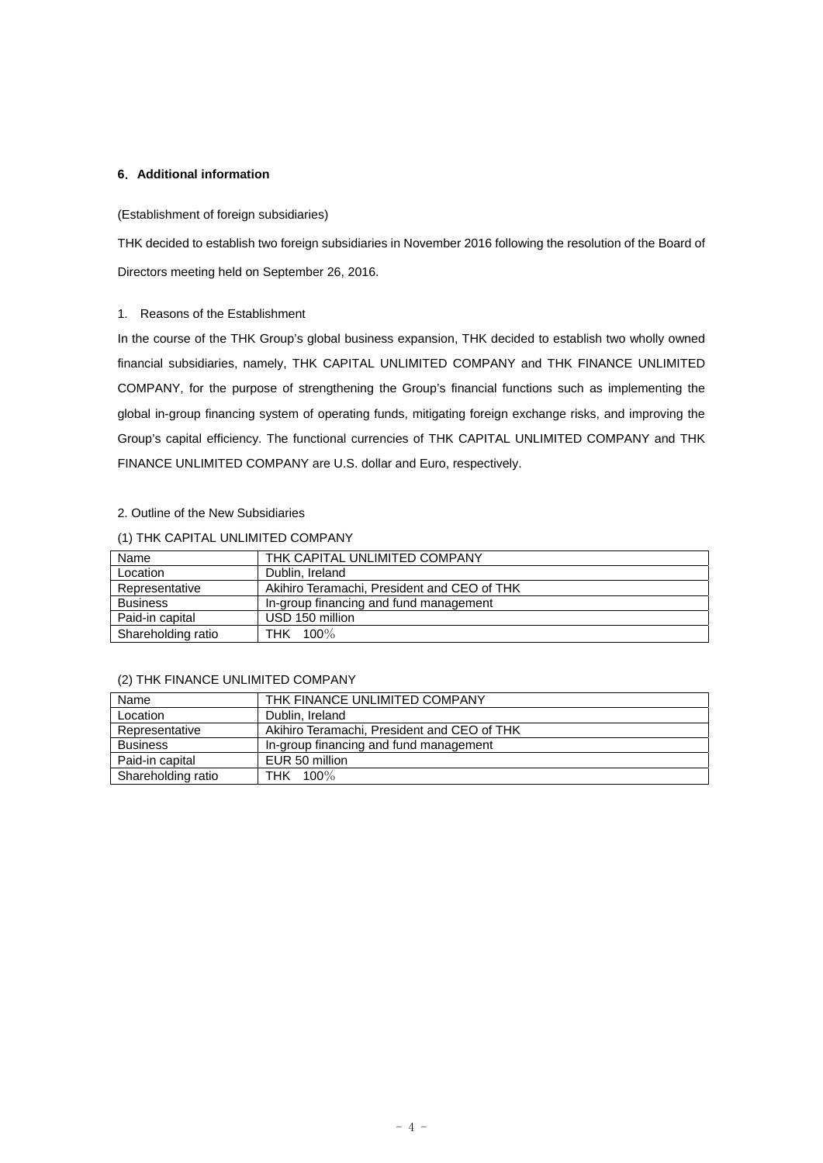#### **6**.**Additional information**

#### (Establishment of foreign subsidiaries)

THK decided to establish two foreign subsidiaries in November 2016 following the resolution of the Board of Directors meeting held on September 26, 2016.

#### 1. Reasons of the Establishment

In the course of the THK Group's global business expansion, THK decided to establish two wholly owned financial subsidiaries, namely, THK CAPITAL UNLIMITED COMPANY and THK FINANCE UNLIMITED COMPANY, for the purpose of strengthening the Group's financial functions such as implementing the global in-group financing system of operating funds, mitigating foreign exchange risks, and improving the Group's capital efficiency. The functional currencies of THK CAPITAL UNLIMITED COMPANY and THK FINANCE UNLIMITED COMPANY are U.S. dollar and Euro, respectively.

### 2. Outline of the New Subsidiaries

#### (1) THK CAPITAL UNLIMITED COMPANY

| Name               | THK CAPITAL UNLIMITED COMPANY               |
|--------------------|---------------------------------------------|
| Location           | Dublin, Ireland                             |
| Representative     | Akihiro Teramachi, President and CEO of THK |
| <b>Business</b>    | In-group financing and fund management      |
| Paid-in capital    | USD 150 million                             |
| Shareholding ratio | THK 100%                                    |

#### (2) THK FINANCE UNLIMITED COMPANY

| Name               | THK FINANCE UNLIMITED COMPANY               |
|--------------------|---------------------------------------------|
| Location           | Dublin, Ireland                             |
| Representative     | Akihiro Teramachi, President and CEO of THK |
| <b>Business</b>    | In-group financing and fund management      |
| Paid-in capital    | EUR 50 million                              |
| Shareholding ratio | THK 100%                                    |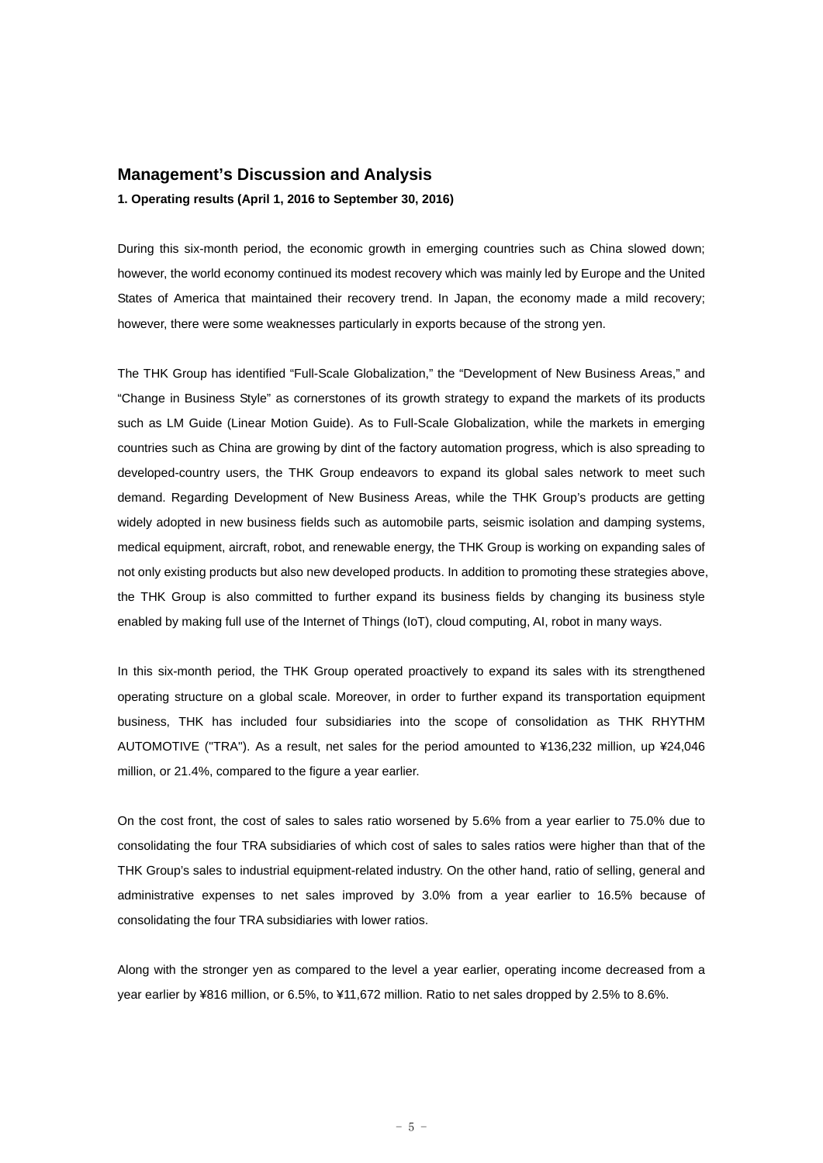#### **Management's Discussion and Analysis**

#### **1. Operating results (April 1, 2016 to September 30, 2016)**

During this six-month period, the economic growth in emerging countries such as China slowed down; however, the world economy continued its modest recovery which was mainly led by Europe and the United States of America that maintained their recovery trend. In Japan, the economy made a mild recovery; however, there were some weaknesses particularly in exports because of the strong yen.

The THK Group has identified "Full-Scale Globalization," the "Development of New Business Areas," and "Change in Business Style" as cornerstones of its growth strategy to expand the markets of its products such as LM Guide (Linear Motion Guide). As to Full-Scale Globalization, while the markets in emerging countries such as China are growing by dint of the factory automation progress, which is also spreading to developed-country users, the THK Group endeavors to expand its global sales network to meet such demand. Regarding Development of New Business Areas, while the THK Group's products are getting widely adopted in new business fields such as automobile parts, seismic isolation and damping systems, medical equipment, aircraft, robot, and renewable energy, the THK Group is working on expanding sales of not only existing products but also new developed products. In addition to promoting these strategies above, the THK Group is also committed to further expand its business fields by changing its business style enabled by making full use of the Internet of Things (IoT), cloud computing, AI, robot in many ways.

In this six-month period, the THK Group operated proactively to expand its sales with its strengthened operating structure on a global scale. Moreover, in order to further expand its transportation equipment business, THK has included four subsidiaries into the scope of consolidation as THK RHYTHM AUTOMOTIVE ("TRA"). As a result, net sales for the period amounted to ¥136,232 million, up ¥24,046 million, or 21.4%, compared to the figure a year earlier.

On the cost front, the cost of sales to sales ratio worsened by 5.6% from a year earlier to 75.0% due to consolidating the four TRA subsidiaries of which cost of sales to sales ratios were higher than that of the THK Group's sales to industrial equipment-related industry. On the other hand, ratio of selling, general and administrative expenses to net sales improved by 3.0% from a year earlier to 16.5% because of consolidating the four TRA subsidiaries with lower ratios.

Along with the stronger yen as compared to the level a year earlier, operating income decreased from a year earlier by ¥816 million, or 6.5%, to ¥11,672 million. Ratio to net sales dropped by 2.5% to 8.6%.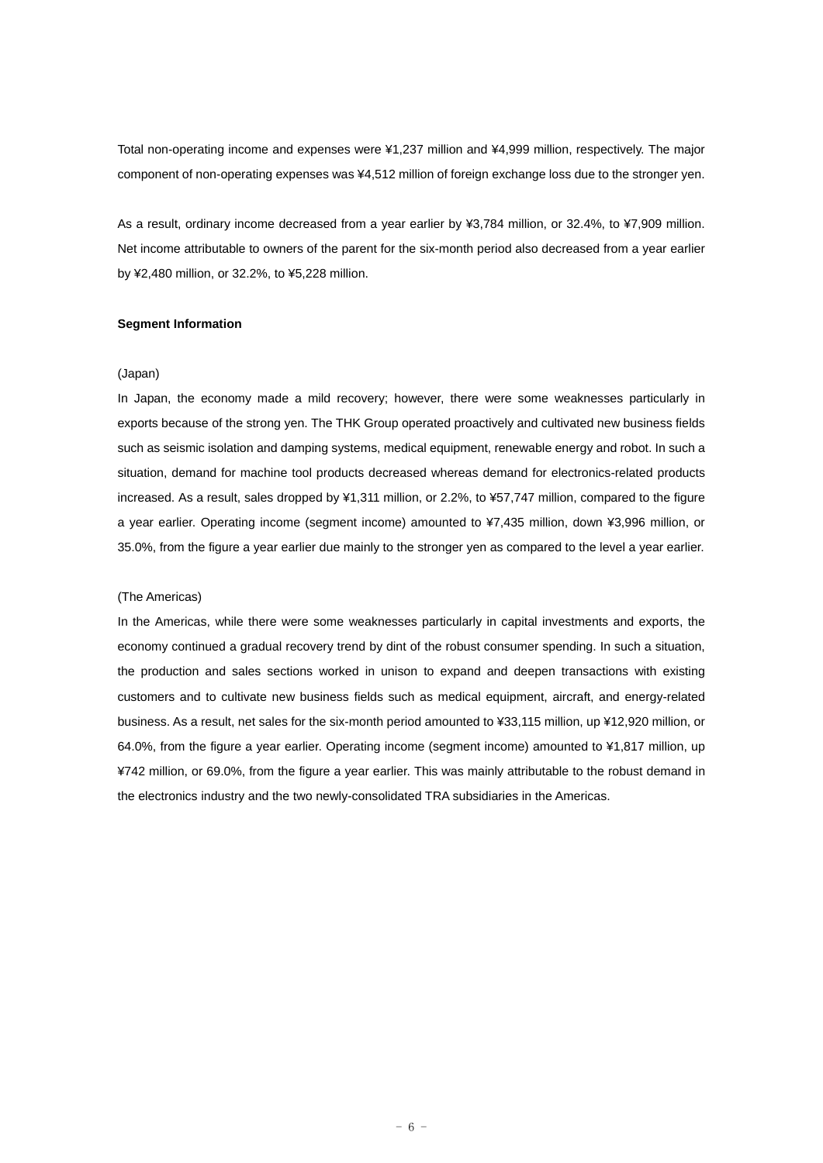Total non-operating income and expenses were ¥1,237 million and ¥4,999 million, respectively. The major component of non-operating expenses was ¥4,512 million of foreign exchange loss due to the stronger yen.

As a result, ordinary income decreased from a year earlier by ¥3,784 million, or 32.4%, to ¥7,909 million. Net income attributable to owners of the parent for the six-month period also decreased from a year earlier by ¥2,480 million, or 32.2%, to ¥5,228 million.

#### **Segment Information**

#### (Japan)

In Japan, the economy made a mild recovery; however, there were some weaknesses particularly in exports because of the strong yen. The THK Group operated proactively and cultivated new business fields such as seismic isolation and damping systems, medical equipment, renewable energy and robot. In such a situation, demand for machine tool products decreased whereas demand for electronics-related products increased. As a result, sales dropped by ¥1,311 million, or 2.2%, to ¥57,747 million, compared to the figure a year earlier. Operating income (segment income) amounted to ¥7,435 million, down ¥3,996 million, or 35.0%, from the figure a year earlier due mainly to the stronger yen as compared to the level a year earlier.

#### (The Americas)

In the Americas, while there were some weaknesses particularly in capital investments and exports, the economy continued a gradual recovery trend by dint of the robust consumer spending. In such a situation, the production and sales sections worked in unison to expand and deepen transactions with existing customers and to cultivate new business fields such as medical equipment, aircraft, and energy-related business. As a result, net sales for the six-month period amounted to ¥33,115 million, up ¥12,920 million, or 64.0%, from the figure a year earlier. Operating income (segment income) amounted to ¥1,817 million, up ¥742 million, or 69.0%, from the figure a year earlier. This was mainly attributable to the robust demand in the electronics industry and the two newly-consolidated TRA subsidiaries in the Americas.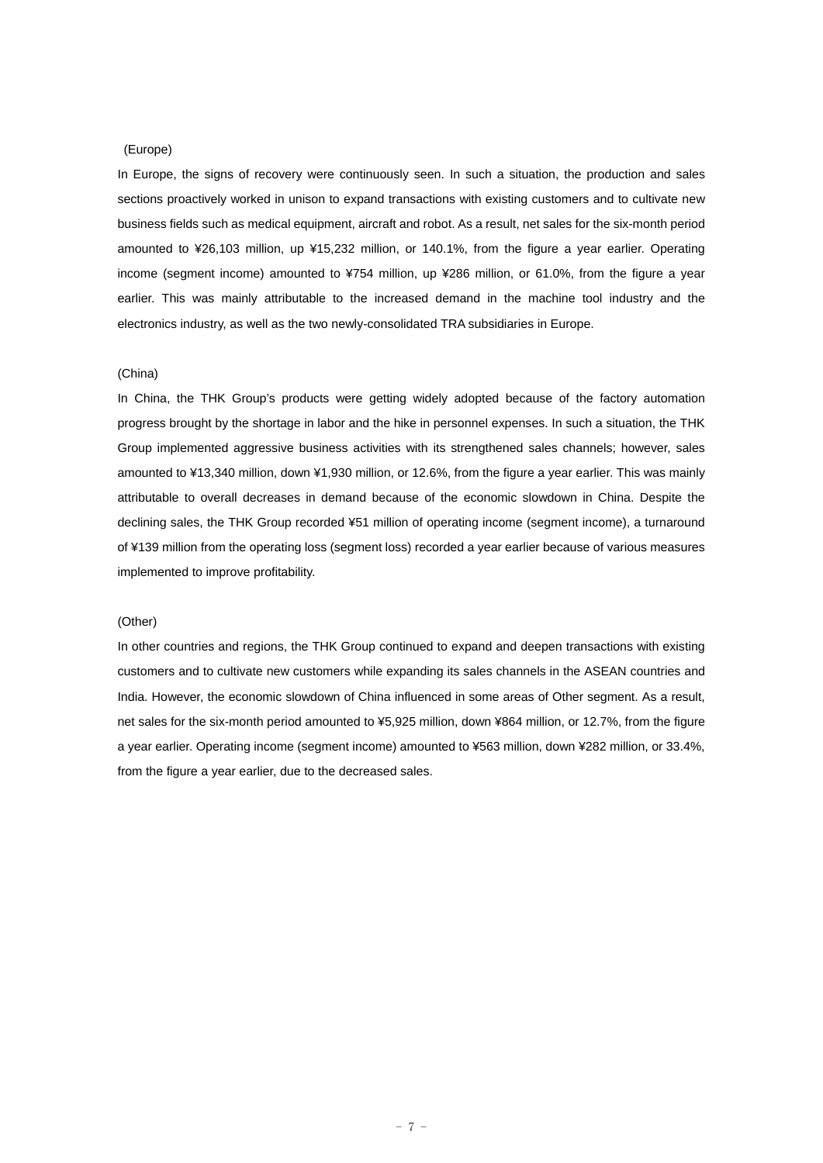#### (Europe)

In Europe, the signs of recovery were continuously seen. In such a situation, the production and sales sections proactively worked in unison to expand transactions with existing customers and to cultivate new business fields such as medical equipment, aircraft and robot. As a result, net sales for the six-month period amounted to ¥26,103 million, up ¥15,232 million, or 140.1%, from the figure a year earlier. Operating income (segment income) amounted to ¥754 million, up ¥286 million, or 61.0%, from the figure a year earlier. This was mainly attributable to the increased demand in the machine tool industry and the electronics industry, as well as the two newly-consolidated TRA subsidiaries in Europe.

#### (China)

In China, the THK Group's products were getting widely adopted because of the factory automation progress brought by the shortage in labor and the hike in personnel expenses. In such a situation, the THK Group implemented aggressive business activities with its strengthened sales channels; however, sales amounted to ¥13,340 million, down ¥1,930 million, or 12.6%, from the figure a year earlier. This was mainly attributable to overall decreases in demand because of the economic slowdown in China. Despite the declining sales, the THK Group recorded ¥51 million of operating income (segment income), a turnaround of ¥139 million from the operating loss (segment loss) recorded a year earlier because of various measures implemented to improve profitability.

#### (Other)

In other countries and regions, the THK Group continued to expand and deepen transactions with existing customers and to cultivate new customers while expanding its sales channels in the ASEAN countries and India. However, the economic slowdown of China influenced in some areas of Other segment. As a result, net sales for the six-month period amounted to ¥5,925 million, down ¥864 million, or 12.7%, from the figure a year earlier. Operating income (segment income) amounted to ¥563 million, down ¥282 million, or 33.4%, from the figure a year earlier, due to the decreased sales.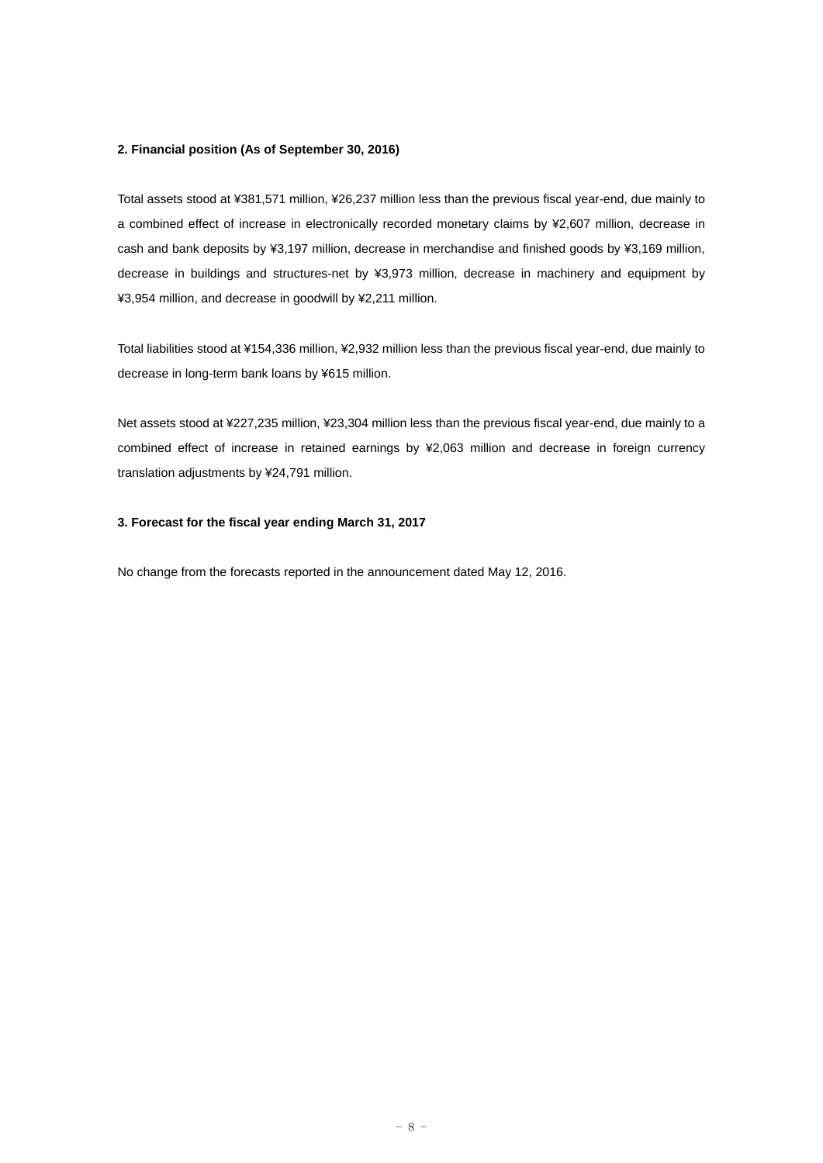#### **2. Financial position (As of September 30, 2016)**

Total assets stood at ¥381,571 million, ¥26,237 million less than the previous fiscal year-end, due mainly to a combined effect of increase in electronically recorded monetary claims by ¥2,607 million, decrease in cash and bank deposits by ¥3,197 million, decrease in merchandise and finished goods by ¥3,169 million, decrease in buildings and structures-net by ¥3,973 million, decrease in machinery and equipment by ¥3,954 million, and decrease in goodwill by ¥2,211 million.

Total liabilities stood at ¥154,336 million, ¥2,932 million less than the previous fiscal year-end, due mainly to decrease in long-term bank loans by ¥615 million.

Net assets stood at ¥227,235 million, ¥23,304 million less than the previous fiscal year-end, due mainly to a combined effect of increase in retained earnings by ¥2,063 million and decrease in foreign currency translation adjustments by ¥24,791 million.

#### **3. Forecast for the fiscal year ending March 31, 2017**

No change from the forecasts reported in the announcement dated May 12, 2016.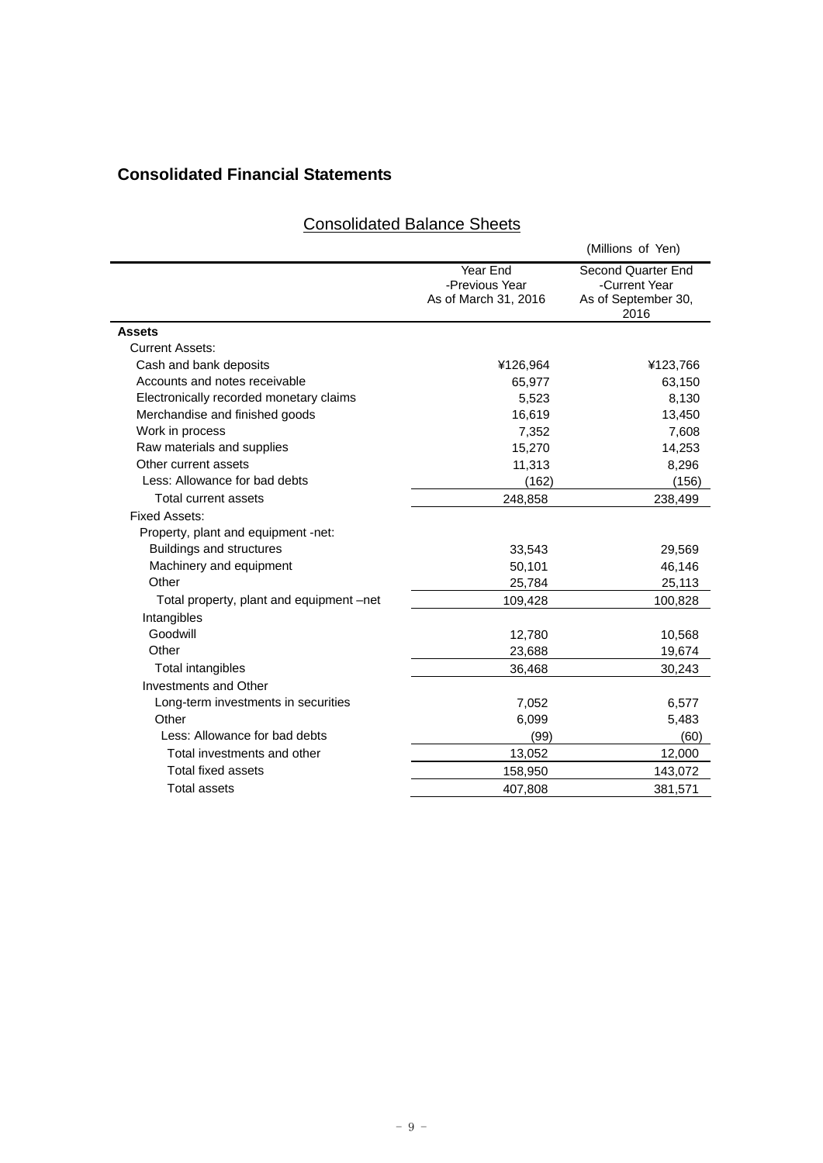# **Consolidated Financial Statements**

## Consolidated Balance Sheets

|                                          |                                                    | (Millions of Yen)                                                  |
|------------------------------------------|----------------------------------------------------|--------------------------------------------------------------------|
|                                          | Year End<br>-Previous Year<br>As of March 31, 2016 | Second Quarter End<br>-Current Year<br>As of September 30,<br>2016 |
| <b>Assets</b>                            |                                                    |                                                                    |
| <b>Current Assets:</b>                   |                                                    |                                                                    |
| Cash and bank deposits                   | ¥126,964                                           | ¥123,766                                                           |
| Accounts and notes receivable            | 65,977                                             | 63,150                                                             |
| Electronically recorded monetary claims  | 5,523                                              | 8,130                                                              |
| Merchandise and finished goods           | 16,619                                             | 13,450                                                             |
| Work in process                          | 7,352                                              | 7,608                                                              |
| Raw materials and supplies               | 15,270                                             | 14,253                                                             |
| Other current assets                     | 11,313                                             | 8,296                                                              |
| Less: Allowance for bad debts            | (162)                                              | (156)                                                              |
| Total current assets                     | 248,858                                            | 238,499                                                            |
| <b>Fixed Assets:</b>                     |                                                    |                                                                    |
| Property, plant and equipment -net:      |                                                    |                                                                    |
| <b>Buildings and structures</b>          | 33,543                                             | 29,569                                                             |
| Machinery and equipment                  | 50,101                                             | 46,146                                                             |
| Other                                    | 25,784                                             | 25,113                                                             |
| Total property, plant and equipment –net | 109,428                                            | 100,828                                                            |
| Intangibles                              |                                                    |                                                                    |
| Goodwill                                 | 12,780                                             | 10,568                                                             |
| Other                                    | 23,688                                             | 19,674                                                             |
| Total intangibles                        | 36,468                                             | 30,243                                                             |
| <b>Investments and Other</b>             |                                                    |                                                                    |
| Long-term investments in securities      | 7,052                                              | 6,577                                                              |
| Other                                    | 6,099                                              | 5,483                                                              |
| Less: Allowance for bad debts            | (99)                                               | (60)                                                               |
| Total investments and other              | 13,052                                             | 12,000                                                             |
| Total fixed assets                       | 158,950                                            | 143,072                                                            |
| <b>Total assets</b>                      | 407,808                                            | 381,571                                                            |
|                                          |                                                    |                                                                    |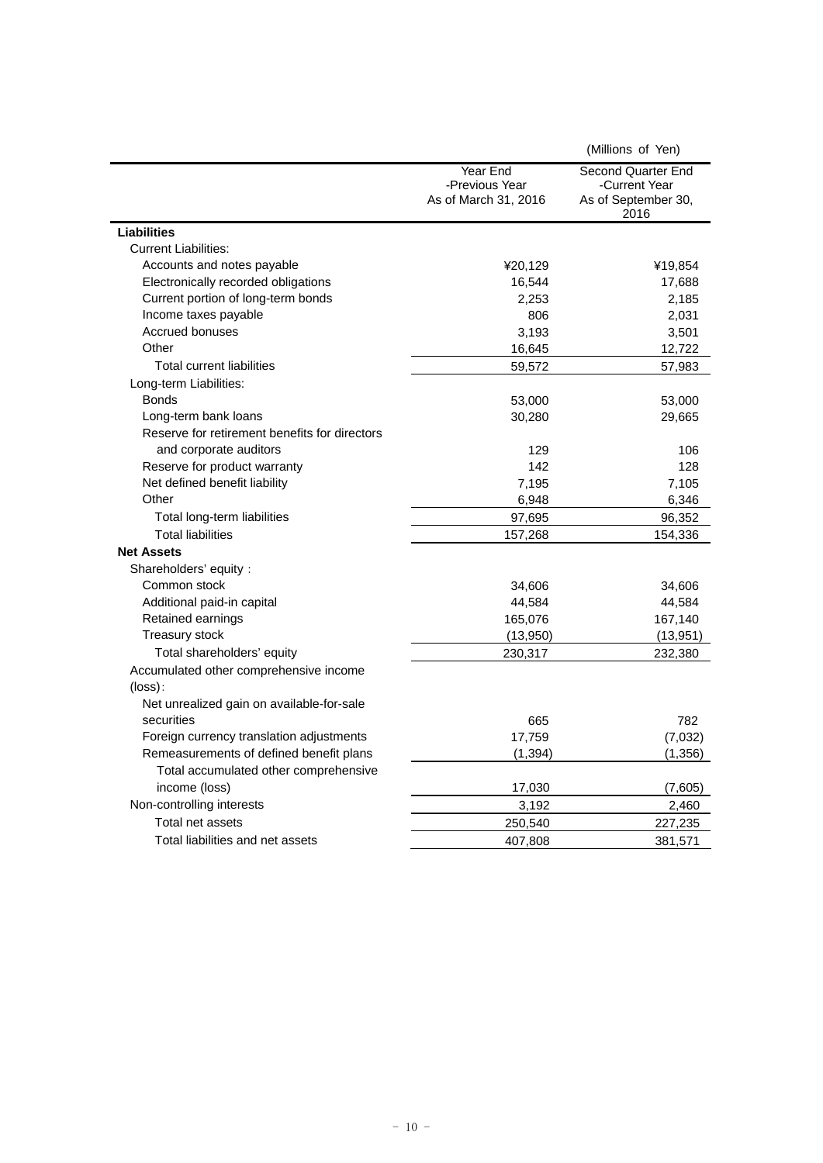|                                               |                                                    | (Millions of Yen)                                                  |
|-----------------------------------------------|----------------------------------------------------|--------------------------------------------------------------------|
|                                               | Year End<br>-Previous Year<br>As of March 31, 2016 | Second Quarter End<br>-Current Year<br>As of September 30,<br>2016 |
| <b>Liabilities</b>                            |                                                    |                                                                    |
| <b>Current Liabilities:</b>                   |                                                    |                                                                    |
| Accounts and notes payable                    | ¥20,129                                            | ¥19,854                                                            |
| Electronically recorded obligations           | 16,544                                             | 17,688                                                             |
| Current portion of long-term bonds            | 2,253                                              | 2,185                                                              |
| Income taxes payable                          | 806                                                | 2,031                                                              |
| <b>Accrued bonuses</b>                        | 3,193                                              | 3,501                                                              |
| Other                                         | 16,645                                             | 12,722                                                             |
| <b>Total current liabilities</b>              | 59,572                                             | 57,983                                                             |
| Long-term Liabilities:                        |                                                    |                                                                    |
| <b>Bonds</b>                                  | 53,000                                             | 53,000                                                             |
| Long-term bank loans                          | 30,280                                             | 29,665                                                             |
| Reserve for retirement benefits for directors |                                                    |                                                                    |
| and corporate auditors                        | 129                                                | 106                                                                |
| Reserve for product warranty                  | 142                                                | 128                                                                |
| Net defined benefit liability                 | 7,195                                              | 7,105                                                              |
| Other                                         | 6,948                                              | 6,346                                                              |
| Total long-term liabilities                   | 97,695                                             | 96,352                                                             |
| <b>Total liabilities</b>                      | 157,268                                            | 154,336                                                            |
| <b>Net Assets</b>                             |                                                    |                                                                    |
| Shareholders' equity :                        |                                                    |                                                                    |
| Common stock                                  | 34,606                                             | 34,606                                                             |
| Additional paid-in capital                    | 44,584                                             | 44,584                                                             |
| Retained earnings                             | 165,076                                            | 167,140                                                            |
| <b>Treasury stock</b>                         | (13,950)                                           | (13, 951)                                                          |
| Total shareholders' equity                    | 230,317                                            | 232,380                                                            |
| Accumulated other comprehensive income        |                                                    |                                                                    |
| $(\text{loss})$ :                             |                                                    |                                                                    |
| Net unrealized gain on available-for-sale     |                                                    |                                                                    |
| securities                                    | 665                                                | 782                                                                |
| Foreign currency translation adjustments      | 17,759                                             | (7,032)                                                            |
| Remeasurements of defined benefit plans       | (1, 394)                                           | (1, 356)                                                           |
| Total accumulated other comprehensive         |                                                    |                                                                    |
| income (loss)                                 | 17,030                                             | (7,605)                                                            |
| Non-controlling interests                     | 3,192                                              | 2,460                                                              |
| Total net assets                              | 250,540                                            | 227,235                                                            |
| Total liabilities and net assets              | 407,808                                            | 381,571                                                            |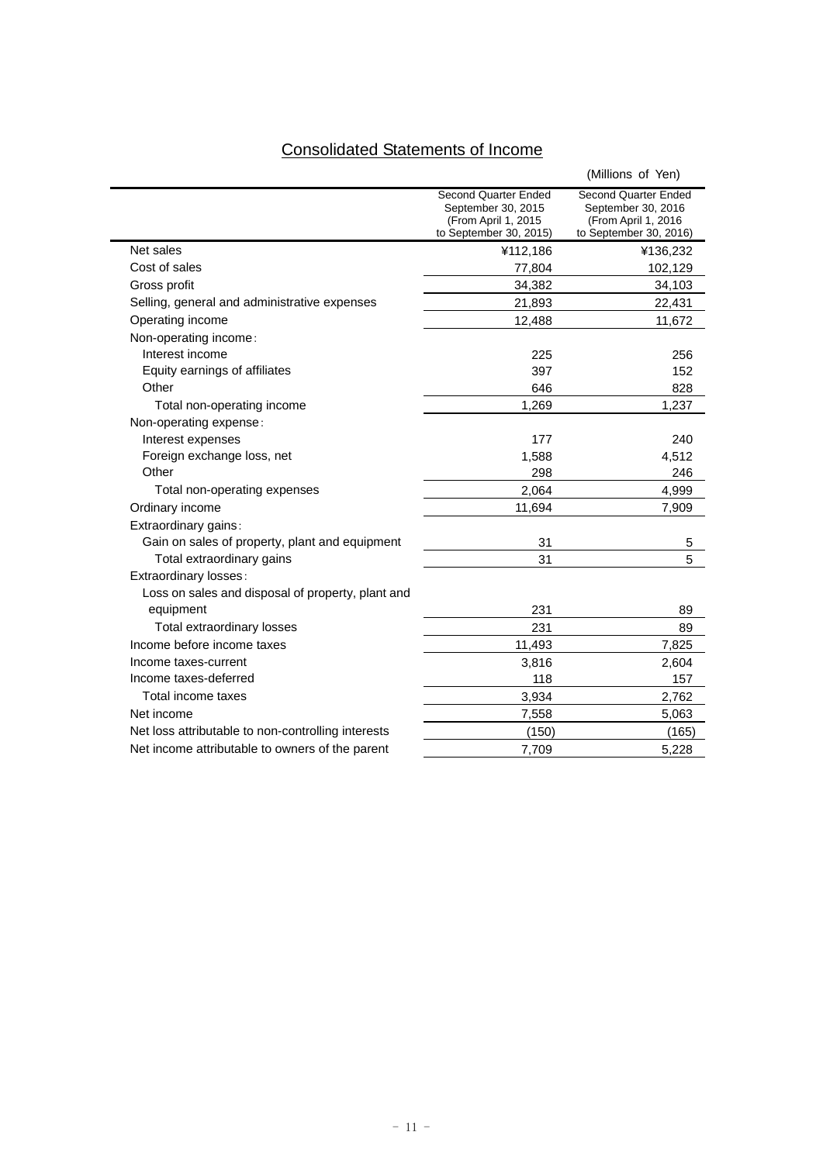# Consolidated Statements of Income

|                                                    |                                                                                              | (Millions of Yen)                                                                                  |
|----------------------------------------------------|----------------------------------------------------------------------------------------------|----------------------------------------------------------------------------------------------------|
|                                                    | Second Quarter Ended<br>September 30, 2015<br>(From April 1, 2015)<br>to September 30, 2015) | <b>Second Quarter Ended</b><br>September 30, 2016<br>(From April 1, 2016<br>to September 30, 2016) |
| Net sales                                          | ¥112,186                                                                                     | ¥136,232                                                                                           |
| Cost of sales                                      | 77,804                                                                                       | 102,129                                                                                            |
| Gross profit                                       | 34,382                                                                                       | 34,103                                                                                             |
| Selling, general and administrative expenses       | 21,893                                                                                       | 22,431                                                                                             |
| Operating income                                   | 12,488                                                                                       | 11,672                                                                                             |
| Non-operating income:                              |                                                                                              |                                                                                                    |
| Interest income                                    | 225                                                                                          | 256                                                                                                |
| Equity earnings of affiliates                      | 397                                                                                          | 152                                                                                                |
| Other                                              | 646                                                                                          | 828                                                                                                |
| Total non-operating income                         | 1,269                                                                                        | 1,237                                                                                              |
| Non-operating expense:                             |                                                                                              |                                                                                                    |
| Interest expenses                                  | 177                                                                                          | 240                                                                                                |
| Foreign exchange loss, net                         | 1,588                                                                                        | 4,512                                                                                              |
| Other                                              | 298                                                                                          | 246                                                                                                |
| Total non-operating expenses                       | 2,064                                                                                        | 4.999                                                                                              |
| Ordinary income                                    | 11,694                                                                                       | 7,909                                                                                              |
| Extraordinary gains:                               |                                                                                              |                                                                                                    |
| Gain on sales of property, plant and equipment     | 31                                                                                           | 5                                                                                                  |
| Total extraordinary gains                          | 31                                                                                           | 5                                                                                                  |
| Extraordinary losses:                              |                                                                                              |                                                                                                    |
| Loss on sales and disposal of property, plant and  |                                                                                              |                                                                                                    |
| equipment                                          | 231                                                                                          | 89                                                                                                 |
| Total extraordinary losses                         | 231                                                                                          | 89                                                                                                 |
| Income before income taxes                         | 11,493                                                                                       | 7,825                                                                                              |
| Income taxes-current                               | 3,816                                                                                        | 2,604                                                                                              |
| Income taxes-deferred                              | 118                                                                                          | 157                                                                                                |
| Total income taxes                                 | 3,934                                                                                        | 2,762                                                                                              |
| Net income                                         | 7,558                                                                                        | 5,063                                                                                              |
| Net loss attributable to non-controlling interests | (150)                                                                                        | (165)                                                                                              |
| Net income attributable to owners of the parent    | 7,709                                                                                        | 5,228                                                                                              |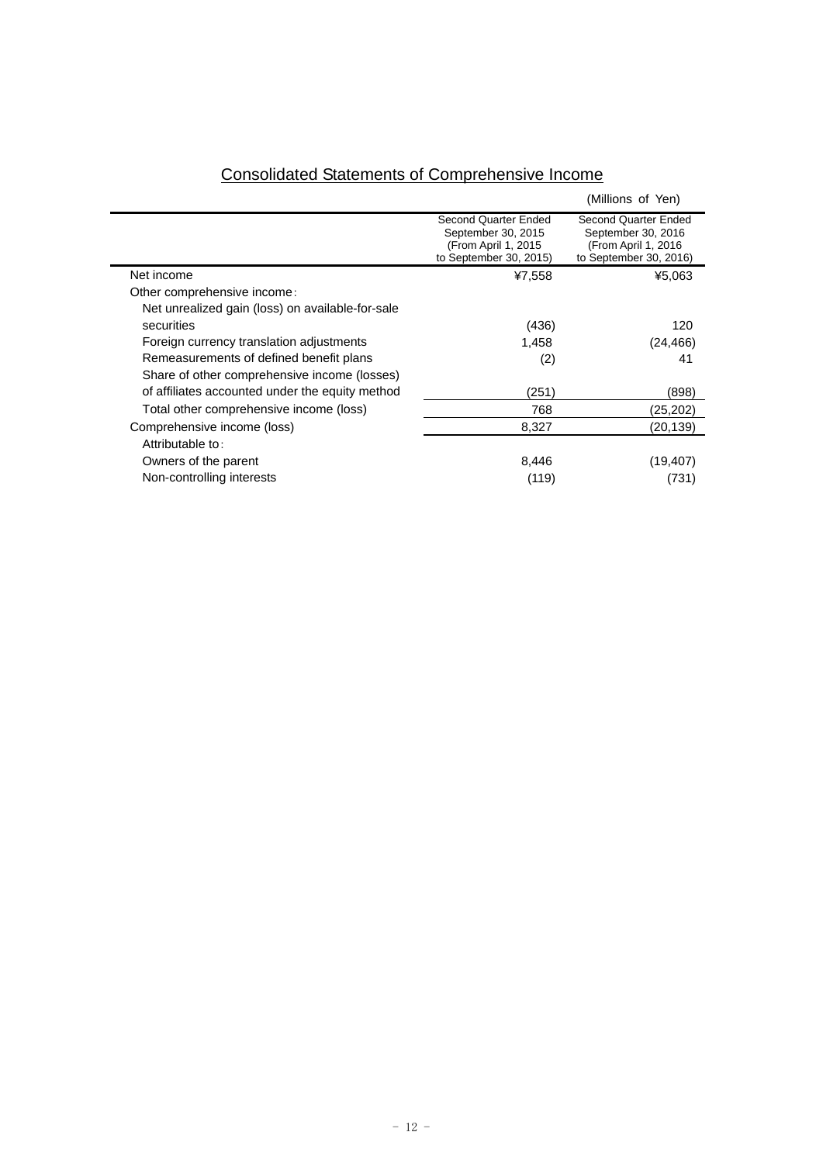|                                                                                              | (Millions of Yen)                                                                            |
|----------------------------------------------------------------------------------------------|----------------------------------------------------------------------------------------------|
| Second Quarter Ended<br>September 30, 2015<br>(From April 1, 2015)<br>to September 30, 2015) | Second Quarter Ended<br>September 30, 2016<br>(From April 1, 2016)<br>to September 30, 2016) |
| ¥7,558                                                                                       | ¥5,063                                                                                       |
|                                                                                              |                                                                                              |
|                                                                                              |                                                                                              |
| (436)                                                                                        | 120                                                                                          |
| 1,458                                                                                        | (24,466)                                                                                     |
| (2)                                                                                          | 41                                                                                           |
|                                                                                              |                                                                                              |
| (251)                                                                                        | (898)                                                                                        |
| 768                                                                                          | (25, 202)                                                                                    |
| 8,327                                                                                        | (20,139)                                                                                     |
|                                                                                              |                                                                                              |
| 8,446                                                                                        | (19, 407)                                                                                    |
| (119)                                                                                        | (731)                                                                                        |
|                                                                                              |                                                                                              |

## Consolidated Statements of Comprehensive Income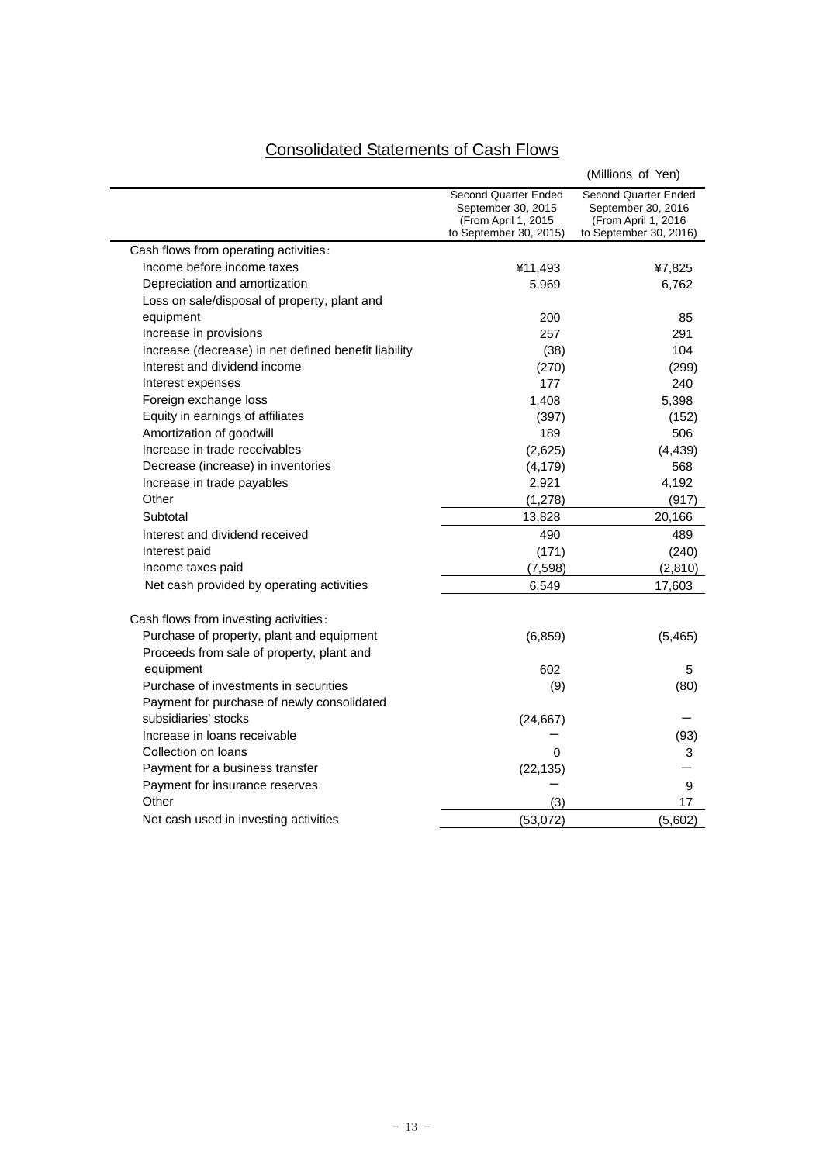# Consolidated Statements of Cash Flows

|                                                      |                                                                                              | (Millions of Yen)                                                                            |
|------------------------------------------------------|----------------------------------------------------------------------------------------------|----------------------------------------------------------------------------------------------|
|                                                      | Second Quarter Ended<br>September 30, 2015<br>(From April 1, 2015)<br>to September 30, 2015) | Second Quarter Ended<br>September 30, 2016<br>(From April 1, 2016)<br>to September 30, 2016) |
| Cash flows from operating activities:                |                                                                                              |                                                                                              |
| Income before income taxes                           | ¥11,493                                                                                      | ¥7,825                                                                                       |
| Depreciation and amortization                        | 5,969                                                                                        | 6,762                                                                                        |
| Loss on sale/disposal of property, plant and         |                                                                                              |                                                                                              |
| equipment                                            | 200                                                                                          | 85                                                                                           |
| Increase in provisions                               | 257                                                                                          | 291                                                                                          |
| Increase (decrease) in net defined benefit liability | (38)                                                                                         | 104                                                                                          |
| Interest and dividend income                         | (270)                                                                                        | (299)                                                                                        |
| Interest expenses                                    | 177                                                                                          | 240                                                                                          |
| Foreign exchange loss                                | 1,408                                                                                        | 5,398                                                                                        |
| Equity in earnings of affiliates                     | (397)                                                                                        | (152)                                                                                        |
| Amortization of goodwill                             | 189                                                                                          | 506                                                                                          |
| Increase in trade receivables                        | (2,625)                                                                                      | (4, 439)                                                                                     |
| Decrease (increase) in inventories                   | (4, 179)                                                                                     | 568                                                                                          |
| Increase in trade payables                           | 2,921                                                                                        | 4,192                                                                                        |
| Other                                                | (1, 278)                                                                                     | (917)                                                                                        |
| Subtotal                                             | 13,828                                                                                       | 20,166                                                                                       |
| Interest and dividend received                       | 490                                                                                          | 489                                                                                          |
| Interest paid                                        | (171)                                                                                        | (240)                                                                                        |
| Income taxes paid                                    | (7, 598)                                                                                     | (2,810)                                                                                      |
| Net cash provided by operating activities            | 6,549                                                                                        | 17,603                                                                                       |
| Cash flows from investing activities:                |                                                                                              |                                                                                              |
| Purchase of property, plant and equipment            | (6, 859)                                                                                     | (5,465)                                                                                      |
| Proceeds from sale of property, plant and            |                                                                                              |                                                                                              |
| equipment                                            | 602                                                                                          | 5                                                                                            |
| Purchase of investments in securities                | (9)                                                                                          | (80)                                                                                         |
| Payment for purchase of newly consolidated           |                                                                                              |                                                                                              |
| subsidiaries' stocks                                 | (24, 667)                                                                                    |                                                                                              |
| Increase in loans receivable                         |                                                                                              | (93)                                                                                         |
| Collection on loans                                  | 0                                                                                            | 3                                                                                            |
| Payment for a business transfer                      | (22, 135)                                                                                    |                                                                                              |
| Payment for insurance reserves                       |                                                                                              | 9                                                                                            |
| Other                                                | (3)                                                                                          | 17                                                                                           |
| Net cash used in investing activities                | (53,072)                                                                                     | (5,602)                                                                                      |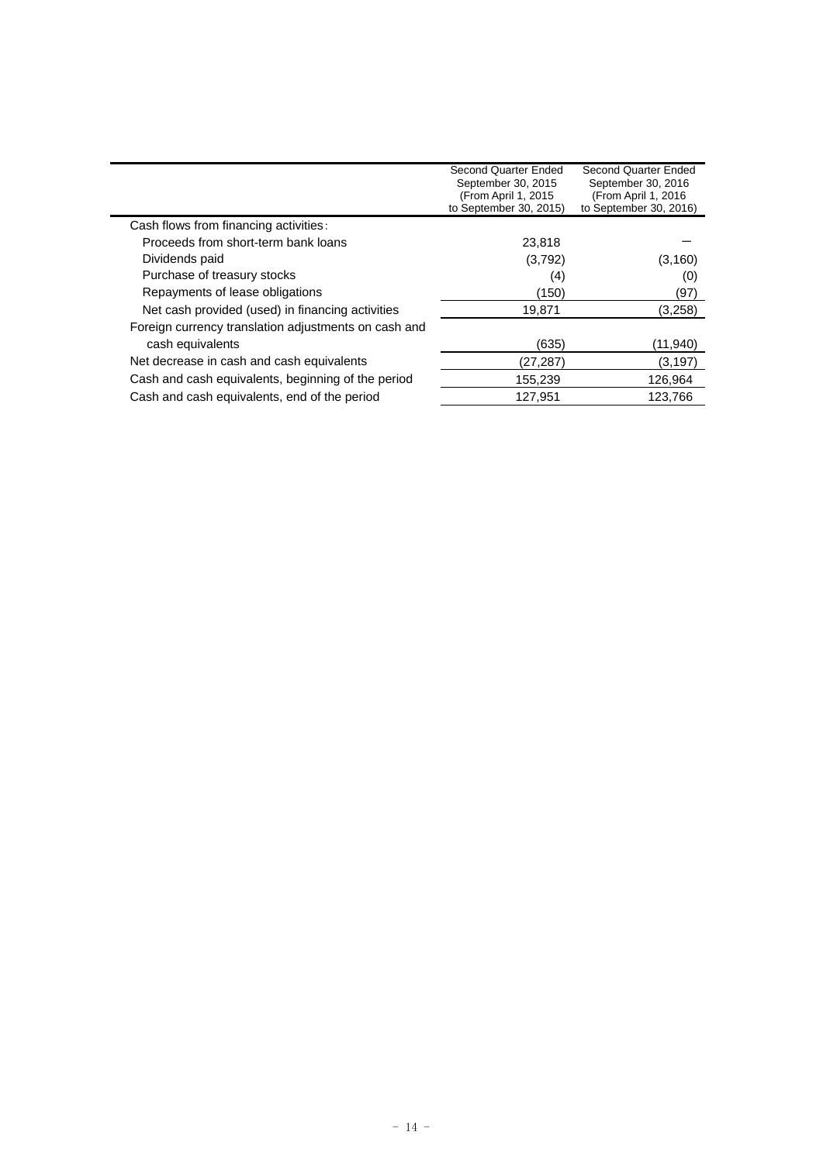|                                                      | Second Quarter Ended                           | Second Quarter Ended                           |
|------------------------------------------------------|------------------------------------------------|------------------------------------------------|
|                                                      | September 30, 2015                             | September 30, 2016                             |
|                                                      | (From April 1, 2015)<br>to September 30, 2015) | (From April 1, 2016)<br>to September 30, 2016) |
| Cash flows from financing activities:                |                                                |                                                |
| Proceeds from short-term bank loans                  | 23,818                                         |                                                |
| Dividends paid                                       | (3,792)                                        | (3, 160)                                       |
| Purchase of treasury stocks                          | (4)                                            | (0)                                            |
| Repayments of lease obligations                      | (150)                                          | (97)                                           |
| Net cash provided (used) in financing activities     | 19,871                                         | (3,258)                                        |
| Foreign currency translation adjustments on cash and |                                                |                                                |
| cash equivalents                                     | (635)                                          | (11, 940)                                      |
| Net decrease in cash and cash equivalents            | (27,287)                                       | (3,197)                                        |
| Cash and cash equivalents, beginning of the period   | 155,239                                        | 126,964                                        |
| Cash and cash equivalents, end of the period         | 127,951                                        | 123,766                                        |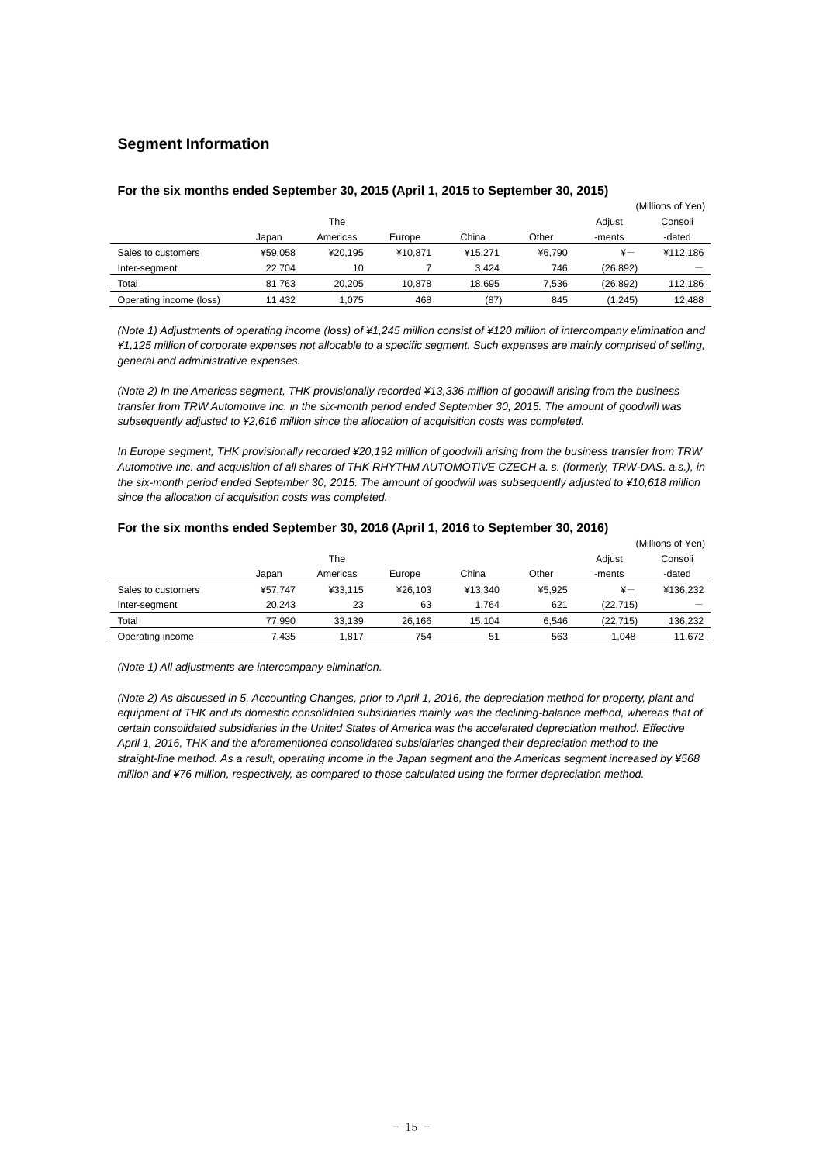### **Segment Information**

|                         |         |          |         |         |        |              | (Millions of Yen) |
|-------------------------|---------|----------|---------|---------|--------|--------------|-------------------|
|                         | The     |          |         |         |        | Adiust       | Consoli           |
|                         | Japan   | Americas | Europe  | China   | Other  | -ments       | -dated            |
| Sales to customers      | ¥59.058 | ¥20.195  | ¥10.871 | ¥15.271 | ¥6.790 | $\ddot{x}$ — | ¥112.186          |
| Inter-segment           | 22.704  | 10       |         | 3.424   | 746    | (26, 892)    |                   |
| Total                   | 81.763  | 20.205   | 10.878  | 18.695  | 7,536  | (26, 892)    | 112,186           |
| Operating income (loss) | 11.432  | 1.075    | 468     | (87)    | 845    | (1, 245)     | 12.488            |

#### **For the six months ended September 30, 2015 (April 1, 2015 to September 30, 2015)**

*(Note 1) Adjustments of operating income (loss) of ¥1,245 million consist of ¥120 million of intercompany elimination and ¥1,125 million of corporate expenses not allocable to a specific segment. Such expenses are mainly comprised of selling, general and administrative expenses.* 

*(Note 2) In the Americas segment, THK provisionally recorded ¥13,336 million of goodwill arising from the business transfer from TRW Automotive Inc. in the six-month period ended September 30, 2015. The amount of goodwill was subsequently adjusted to ¥2,616 million since the allocation of acquisition costs was completed.* 

*In Europe segment, THK provisionally recorded ¥20,192 million of goodwill arising from the business transfer from TRW Automotive Inc. and acquisition of all shares of THK RHYTHM AUTOMOTIVE CZECH a. s. (formerly, TRW-DAS. a.s.), in the six-month period ended September 30, 2015. The amount of goodwill was subsequently adjusted to ¥10,618 million since the allocation of acquisition costs was completed.* 

|                    |         |          |         |         |        |               | (Millions of Yen) |
|--------------------|---------|----------|---------|---------|--------|---------------|-------------------|
|                    |         | The      |         |         |        | Adjust        | Consoli           |
|                    | Japan   | Americas | Europe  | China   | Other  | -ments        | -dated            |
| Sales to customers | ¥57.747 | ¥33.115  | ¥26.103 | ¥13.340 | ¥5.925 | $\frac{1}{2}$ | ¥136.232          |
| Inter-segment      | 20.243  | 23       | 63      | 1.764   | 621    | (22.715)      |                   |
| Total              | 77.990  | 33.139   | 26.166  | 15.104  | 6.546  | (22.715)      | 136.232           |
| Operating income   | 7.435   | 1.817    | 754     | 51      | 563    | 1.048         | 11.672            |

#### **For the six months ended September 30, 2016 (April 1, 2016 to September 30, 2016)**

*(Note 1) All adjustments are intercompany elimination.* 

*(Note 2) As discussed in 5. Accounting Changes, prior to April 1, 2016, the depreciation method for property, plant and*  equipment of THK and its domestic consolidated subsidiaries mainly was the declining-balance method, whereas that of certain consolidated subsidiaries in the United States of America was the accelerated depreciation method. Effective *April 1, 2016, THK and the aforementioned consolidated subsidiaries changed their depreciation method to the straight-line method. As a result, operating income in the Japan segment and the Americas segment increased by ¥568 million and ¥76 million, respectively, as compared to those calculated using the former depreciation method.*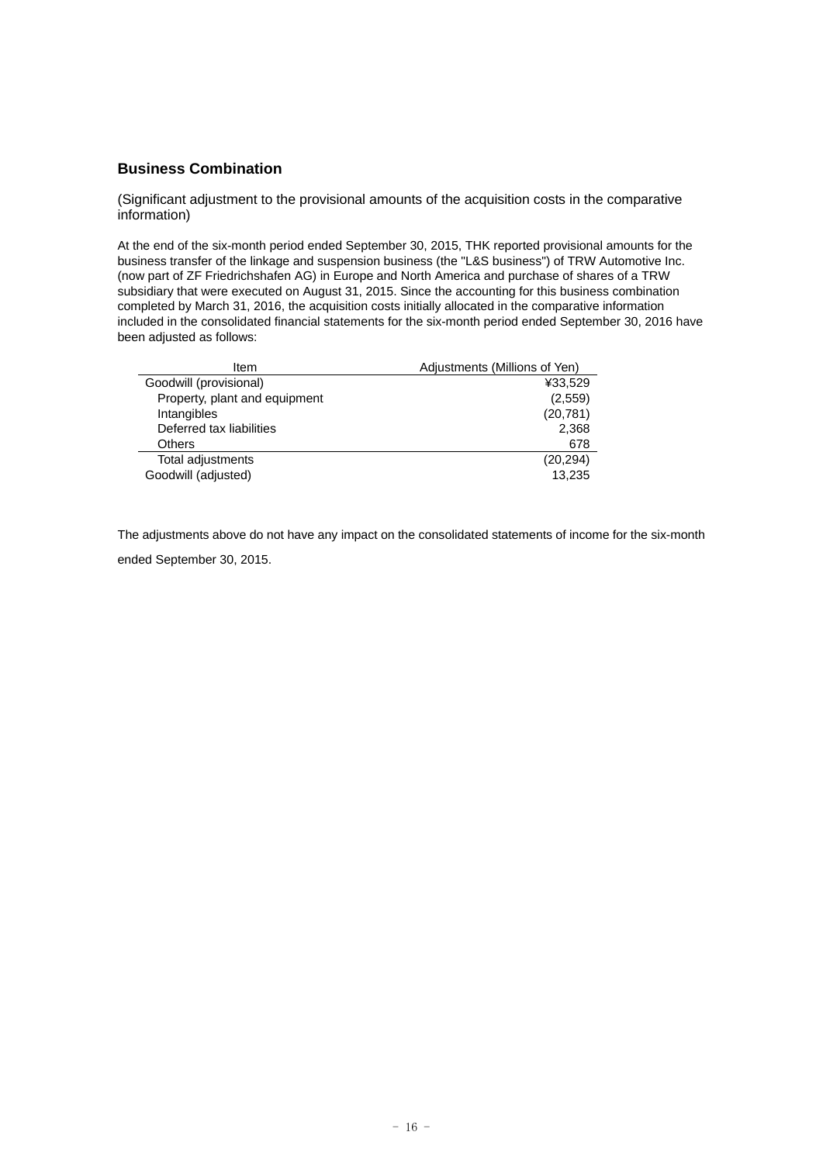### **Business Combination**

(Significant adjustment to the provisional amounts of the acquisition costs in the comparative information)

At the end of the six-month period ended September 30, 2015, THK reported provisional amounts for the business transfer of the linkage and suspension business (the "L&S business") of TRW Automotive Inc. (now part of ZF Friedrichshafen AG) in Europe and North America and purchase of shares of a TRW subsidiary that were executed on August 31, 2015. Since the accounting for this business combination completed by March 31, 2016, the acquisition costs initially allocated in the comparative information included in the consolidated financial statements for the six-month period ended September 30, 2016 have been adjusted as follows:

| Item                          | Adjustments (Millions of Yen) |
|-------------------------------|-------------------------------|
| Goodwill (provisional)        | ¥33,529                       |
| Property, plant and equipment | (2,559)                       |
| Intangibles                   | (20, 781)                     |
| Deferred tax liabilities      | 2,368                         |
| Others                        | 678                           |
| Total adjustments             | (20, 294)                     |
| Goodwill (adjusted)           | 13,235                        |

The adjustments above do not have any impact on the consolidated statements of income for the six-month ended September 30, 2015.